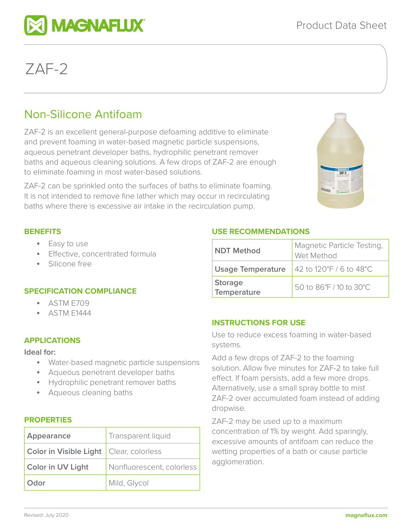# ZAF-2

# Non-Silicone Antifoam

**MAGNAFLUX** 

ZAF-2 is an excellent general-purpose defoaming additive to eliminate and prevent foaming in water-based magnetic particle suspensions, aqueous penetrant developer baths, hydrophilic penetrant remover baths and aqueous cleaning solutions. A few drops of ZAF-2 are enough to eliminate foaming in most water-based solutions.

ZAF-2 can be sprinkled onto the surfaces of baths to eliminate foaming. It is not intended to remove fine lather which may occur in recirculating baths where there is excessive air intake in the recirculation pump.



#### **BENEFITS**

- Easy to use
- Effective, concentrated formula
- Silicone free

# **SPECIFICATION COMPLIANCE**

- ASTM E709
- ASTM E1444

#### **APPLICATIONS**

**Ideal for:** 

- Water-based magnetic particle suspensions
- Aqueous penetrant developer baths
- Hydrophilic penetrant remover baths
- Aqueous cleaning baths

#### **PROPERTIES**

| Appearance                                | Transparent liquid        |
|-------------------------------------------|---------------------------|
| Color in Visible Light   Clear, colorless |                           |
| <b>Color in UV Light</b>                  | Nonfluorescent, colorless |
| Odor                                      | Mild, Glycol              |

# **USE RECOMMENDATIONS**

| <b>NDT Method</b>                    | Magnetic Particle Testing,<br>Wet Method |
|--------------------------------------|------------------------------------------|
| <b>Usage Temperature</b>             | 42 to 120°F / 6 to 48°C                  |
| <b>Storage</b><br><b>Temperature</b> | 50 to 86°F / 10 to 30°C                  |

# **INSTRUCTIONS FOR USE**

Use to reduce excess foaming in water-based systems.

Add a few drops of ZAF-2 to the foaming solution. Allow five minutes for ZAF-2 to take full effect. If foam persists, add a few more drops. Alternatively, use a small spray bottle to mist ZAF-2 over accumulated foam instead of adding dropwise.

ZAF-2 may be used up to a maximum concentration of 1% by weight. Add sparingly, excessive amounts of antifoam can reduce the wetting properties of a bath or cause particle agglomeration.